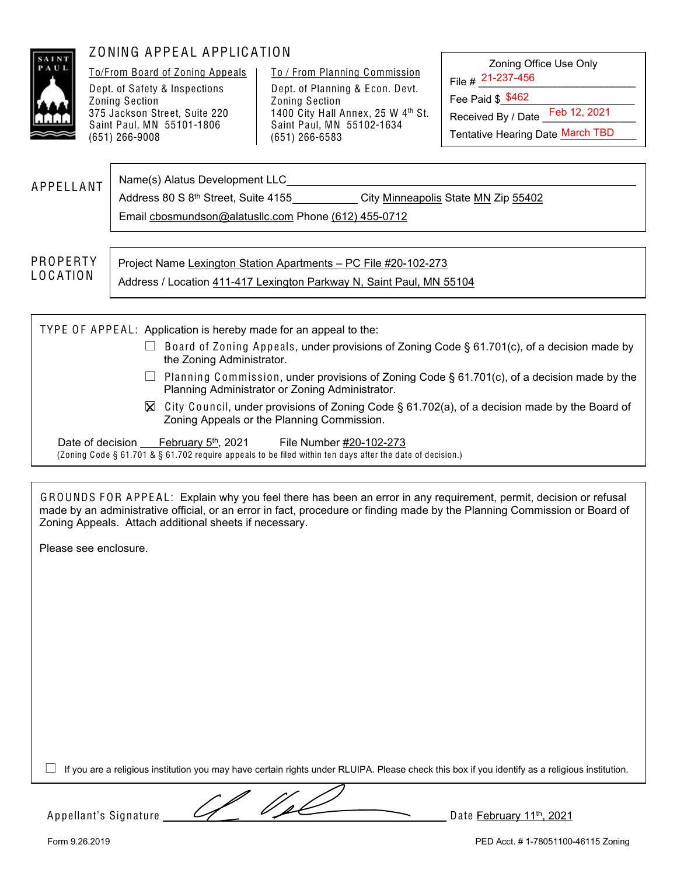

# ZONING APPEAL APPLICATION

To/From Board of Zoning Appeals Dept. of Safety & Inspections Zoning Section 375 Jackson Street, Suite 220 Saint Paul, MN 55101-1806 (651) 266-9008

To / From Planning Commission Dept. of Planning & Econ. Devt. Zoning Section 1400 City Hall Annex, 25 W 4<sup>th</sup> St. Saint Paul, MN 55102-1634 (651) 266-6583

Zoning Office Use Only File # 21-237-456

Fee Paid \$\_\_\_\_\_\_\_\_\_\_\_\_\_\_\_\_\_\_\_\_\_\_\_ \$462

Received By / Date Feb 12, 2021

Tentative Hearing Date March TBD

**APPELLANT** Name(s) Alatus Development LLC

Address 80 S 8<sup>th</sup> Street, Suite 4155 City Minneapolis State MN Zip 55402

Email cbosmundson@alatusllc.com Phone (612) 455-0712

PR O PERTY L O C A TIO N

Project Name Lexington Station Apartments – PC File #20-102-273

Address / Location 411-417 Lexington Parkway N, Saint Paul, MN 55104

TYPE OF APPEAL: Application is hereby made for an appeal to the:  $\Box$  Board of Zoning Appeals, under provisions of Zoning Code § 61.701(c), of a decision made by the Zoning Administrator. Planning Commission, under provisions of Zoning Code § 61.701(c), of a decision made by the Planning Administrator or Zoning Administrator.  $\boxtimes$  City Council, under provisions of Zoning Code § 61.702(a), of a decision made by the Board of Zoning Appeals or the Planning Commission. Date of decision February 5<sup>th</sup>, 2021 File Number #20-102-273 (Zoning Code § 61.701 & § 61.702 require appeals to be filed within ten days after the date of decision.)

GROUNDS FOR APPEAL: Explain why you feel there has been an error in any requirement, permit, decision or refusal made by an administrative official, or an error in fact, procedure or finding made by the Planning Commission or Board of Zoning Appeals. Attach additional sheets if necessary.

Please see enclosure.

 $\Box$  If you are a religious institution you may have certain rights under RLUIPA. Please check this box if you identify as a religious institution.

Appellant's Signature  $\sqrt{2}$   $\sqrt{2}$  Date February 11<sup>th</sup>, 2021

Form 9.26.2019 PED Acct. # 1-78051100-46115 Zoning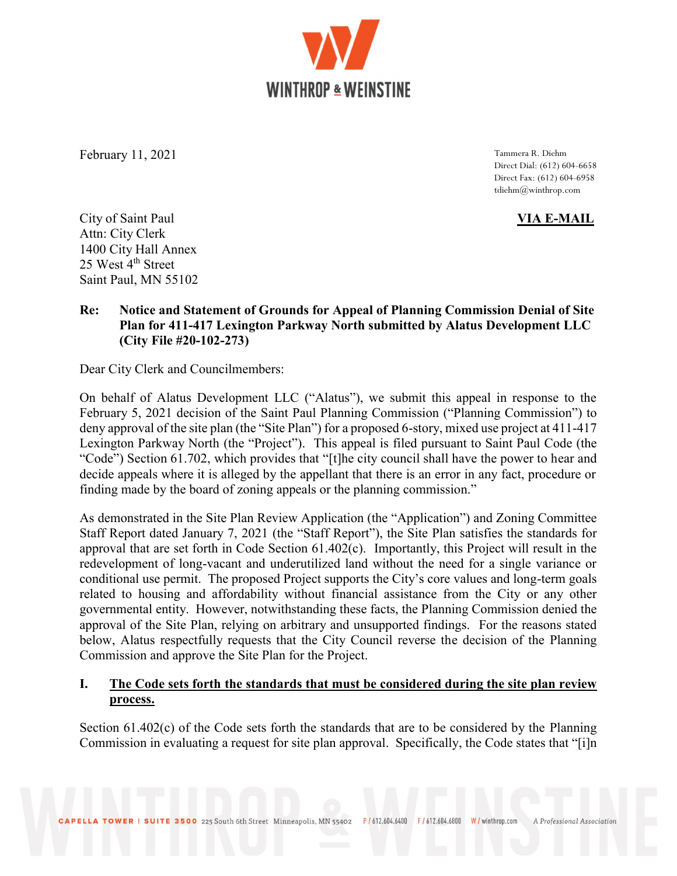WINTHROP & WEINSTINE

February 11, 2021 Tammera R. Diehm

Direct Dial: (612) 604-6658 Direct Fax: (612) 604-6958 tdiehm@winthrop.com

City of Saint Paul VIA E-MAIL Attn: City Clerk 1400 City Hall Annex 25 West 4<sup>th</sup> Street Saint Paul, MN 55102

## Re: Notice and Statement of Grounds for Appeal of Planning Commission Denial of Site Plan for 411-417 Lexington Parkway North submitted by Alatus Development LLC (City File #20-102-273)

Dear City Clerk and Councilmembers:

On behalf of Alatus Development LLC ("Alatus"), we submit this appeal in response to the February 5, 2021 decision of the Saint Paul Planning Commission ("Planning Commission") to deny approval of the site plan (the "Site Plan") for a proposed 6-story, mixed use project at 411-417 Lexington Parkway North (the "Project"). This appeal is filed pursuant to Saint Paul Code (the "Code") Section 61.702, which provides that "[t]he city council shall have the power to hear and decide appeals where it is alleged by the appellant that there is an error in any fact, procedure or finding made by the board of zoning appeals or the planning commission."

As demonstrated in the Site Plan Review Application (the "Application") and Zoning Committee Staff Report dated January 7, 2021 (the "Staff Report"), the Site Plan satisfies the standards for approval that are set forth in Code Section 61.402(c). Importantly, this Project will result in the redevelopment of long-vacant and underutilized land without the need for a single variance or conditional use permit. The proposed Project supports the City's core values and long-term goals related to housing and affordability without financial assistance from the City or any other governmental entity. However, notwithstanding these facts, the Planning Commission denied the approval of the Site Plan, relying on arbitrary and unsupported findings. For the reasons stated below, Alatus respectfully requests that the City Council reverse the decision of the Planning Commission and approve the Site Plan for the Project.

## I. The Code sets forth the standards that must be considered during the site plan review process.

Section  $61.402(c)$  of the Code sets forth the standards that are to be considered by the Planning Commission in evaluating a request for site plan approval. Specifically, the Code states that "[i]n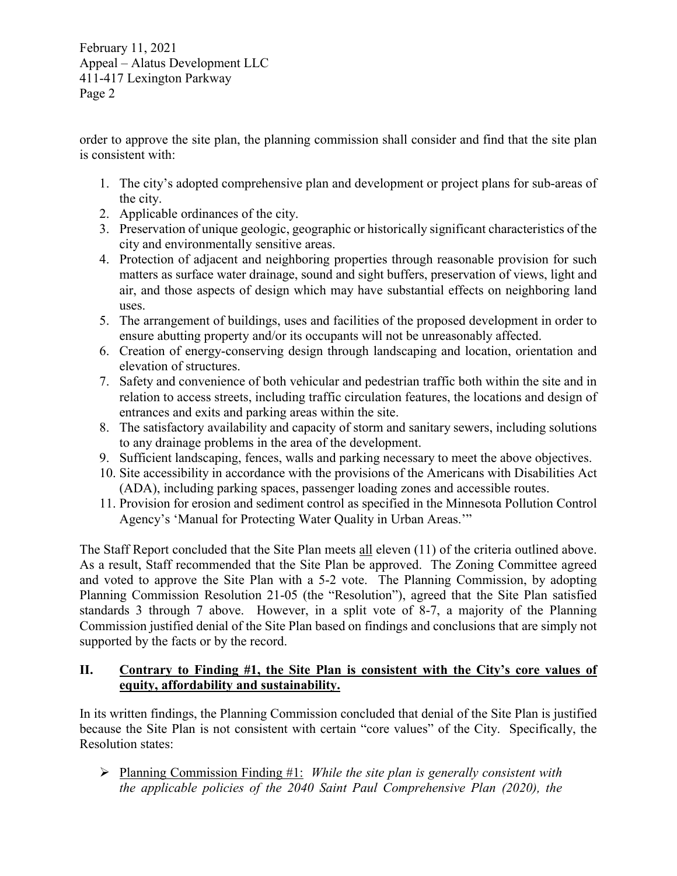order to approve the site plan, the planning commission shall consider and find that the site plan is consistent with:

- 1. The city's adopted comprehensive plan and development or project plans for sub-areas of the city.
- 2. Applicable ordinances of the city.
- 3. Preservation of unique geologic, geographic or historically significant characteristics of the city and environmentally sensitive areas.
- 4. Protection of adjacent and neighboring properties through reasonable provision for such matters as surface water drainage, sound and sight buffers, preservation of views, light and air, and those aspects of design which may have substantial effects on neighboring land uses.
- 5. The arrangement of buildings, uses and facilities of the proposed development in order to ensure abutting property and/or its occupants will not be unreasonably affected.
- 6. Creation of energy-conserving design through landscaping and location, orientation and elevation of structures.
- 7. Safety and convenience of both vehicular and pedestrian traffic both within the site and in relation to access streets, including traffic circulation features, the locations and design of entrances and exits and parking areas within the site.
- 8. The satisfactory availability and capacity of storm and sanitary sewers, including solutions to any drainage problems in the area of the development.
- 9. Sufficient landscaping, fences, walls and parking necessary to meet the above objectives.
- 10. Site accessibility in accordance with the provisions of the Americans with Disabilities Act (ADA), including parking spaces, passenger loading zones and accessible routes.
- 11. Provision for erosion and sediment control as specified in the Minnesota Pollution Control Agency's 'Manual for Protecting Water Quality in Urban Areas.'"

The Staff Report concluded that the Site Plan meets all eleven (11) of the criteria outlined above. As a result, Staff recommended that the Site Plan be approved. The Zoning Committee agreed and voted to approve the Site Plan with a 5-2 vote. The Planning Commission, by adopting Planning Commission Resolution 21-05 (the "Resolution"), agreed that the Site Plan satisfied standards 3 through 7 above. However, in a split vote of 8-7, a majority of the Planning Commission justified denial of the Site Plan based on findings and conclusions that are simply not supported by the facts or by the record.

## II. Contrary to Finding #1, the Site Plan is consistent with the City's core values of equity, affordability and sustainability.

In its written findings, the Planning Commission concluded that denial of the Site Plan is justified because the Site Plan is not consistent with certain "core values" of the City. Specifically, the Resolution states:

 $\triangleright$  Planning Commission Finding #1: While the site plan is generally consistent with the applicable policies of the 2040 Saint Paul Comprehensive Plan (2020), the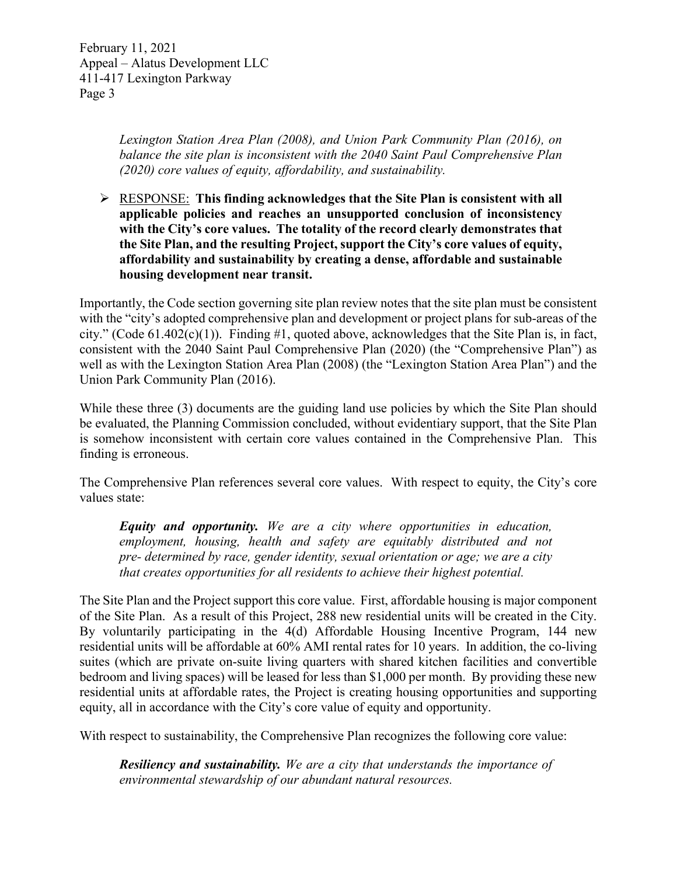> Lexington Station Area Plan (2008), and Union Park Community Plan (2016), on balance the site plan is inconsistent with the 2040 Saint Paul Comprehensive Plan (2020) core values of equity, affordability, and sustainability.

 $\triangleright$  RESPONSE: This finding acknowledges that the Site Plan is consistent with all applicable policies and reaches an unsupported conclusion of inconsistency with the City's core values. The totality of the record clearly demonstrates that the Site Plan, and the resulting Project, support the City's core values of equity, affordability and sustainability by creating a dense, affordable and sustainable housing development near transit.

Importantly, the Code section governing site plan review notes that the site plan must be consistent with the "city's adopted comprehensive plan and development or project plans for sub-areas of the city." (Code  $61.402(c)(1)$ ). Finding #1, quoted above, acknowledges that the Site Plan is, in fact, consistent with the 2040 Saint Paul Comprehensive Plan (2020) (the "Comprehensive Plan") as well as with the Lexington Station Area Plan (2008) (the "Lexington Station Area Plan") and the Union Park Community Plan (2016).

While these three (3) documents are the guiding land use policies by which the Site Plan should be evaluated, the Planning Commission concluded, without evidentiary support, that the Site Plan is somehow inconsistent with certain core values contained in the Comprehensive Plan. This finding is erroneous.

The Comprehensive Plan references several core values. With respect to equity, the City's core values state:

Equity and opportunity. We are a city where opportunities in education, employment, housing, health and safety are equitably distributed and not pre- determined by race, gender identity, sexual orientation or age; we are a city that creates opportunities for all residents to achieve their highest potential.

The Site Plan and the Project support this core value. First, affordable housing is major component of the Site Plan. As a result of this Project, 288 new residential units will be created in the City. By voluntarily participating in the 4(d) Affordable Housing Incentive Program, 144 new residential units will be affordable at 60% AMI rental rates for 10 years. In addition, the co-living suites (which are private on-suite living quarters with shared kitchen facilities and convertible bedroom and living spaces) will be leased for less than \$1,000 per month. By providing these new residential units at affordable rates, the Project is creating housing opportunities and supporting equity, all in accordance with the City's core value of equity and opportunity.

With respect to sustainability, the Comprehensive Plan recognizes the following core value:

**Resiliency and sustainability.** We are a city that understands the importance of environmental stewardship of our abundant natural resources.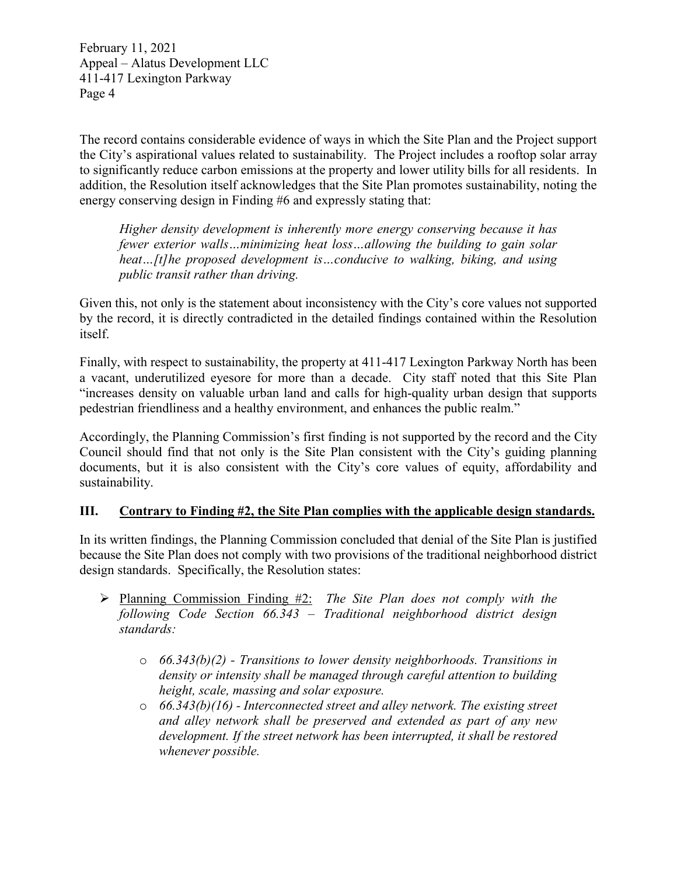The record contains considerable evidence of ways in which the Site Plan and the Project support the City's aspirational values related to sustainability. The Project includes a rooftop solar array to significantly reduce carbon emissions at the property and lower utility bills for all residents. In addition, the Resolution itself acknowledges that the Site Plan promotes sustainability, noting the energy conserving design in Finding #6 and expressly stating that:

Higher density development is inherently more energy conserving because it has fewer exterior walls…minimizing heat loss…allowing the building to gain solar heat...[t]he proposed development is...conducive to walking, biking, and using public transit rather than driving.

Given this, not only is the statement about inconsistency with the City's core values not supported by the record, it is directly contradicted in the detailed findings contained within the Resolution itself.

Finally, with respect to sustainability, the property at 411-417 Lexington Parkway North has been a vacant, underutilized eyesore for more than a decade. City staff noted that this Site Plan "increases density on valuable urban land and calls for high-quality urban design that supports pedestrian friendliness and a healthy environment, and enhances the public realm."

Accordingly, the Planning Commission's first finding is not supported by the record and the City Council should find that not only is the Site Plan consistent with the City's guiding planning documents, but it is also consistent with the City's core values of equity, affordability and sustainability.

## III. Contrary to Finding #2, the Site Plan complies with the applicable design standards.

In its written findings, the Planning Commission concluded that denial of the Site Plan is justified because the Site Plan does not comply with two provisions of the traditional neighborhood district design standards. Specifically, the Resolution states:

- $\triangleright$  Planning Commission Finding #2: The Site Plan does not comply with the following Code Section 66.343 – Traditional neighborhood district design standards:
	- $\circ$  66.343(b)(2) Transitions to lower density neighborhoods. Transitions in density or intensity shall be managed through careful attention to building height, scale, massing and solar exposure.
	- $\circ$  66.343(b)(16) Interconnected street and alley network. The existing street and alley network shall be preserved and extended as part of any new development. If the street network has been interrupted, it shall be restored whenever possible.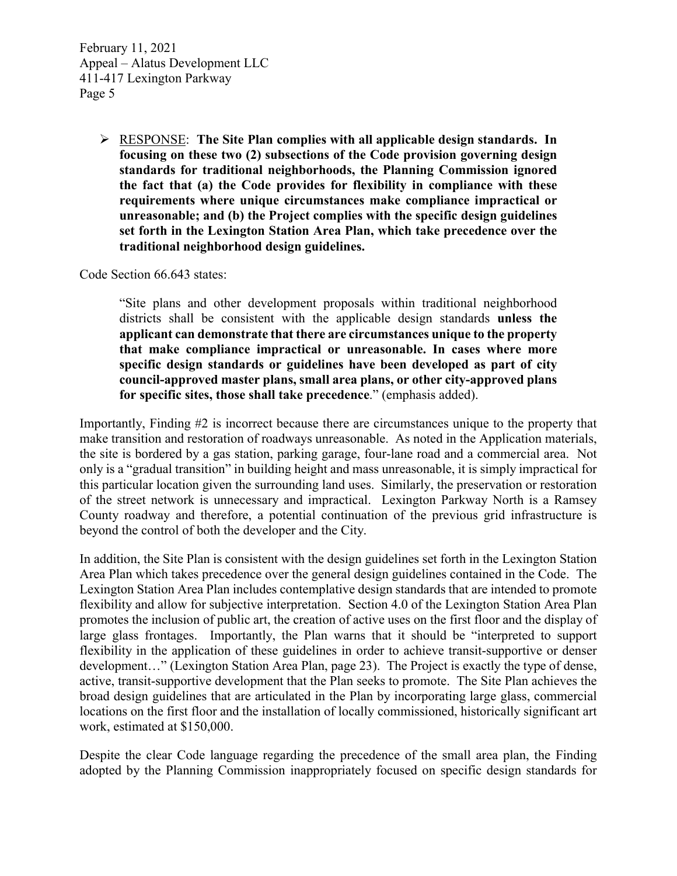> $\triangleright$  RESPONSE: The Site Plan complies with all applicable design standards. In focusing on these two (2) subsections of the Code provision governing design standards for traditional neighborhoods, the Planning Commission ignored the fact that (a) the Code provides for flexibility in compliance with these requirements where unique circumstances make compliance impractical or unreasonable; and (b) the Project complies with the specific design guidelines set forth in the Lexington Station Area Plan, which take precedence over the traditional neighborhood design guidelines.

Code Section 66.643 states:

"Site plans and other development proposals within traditional neighborhood districts shall be consistent with the applicable design standards unless the applicant can demonstrate that there are circumstances unique to the property that make compliance impractical or unreasonable. In cases where more specific design standards or guidelines have been developed as part of city council-approved master plans, small area plans, or other city-approved plans for specific sites, those shall take precedence." (emphasis added).

Importantly, Finding #2 is incorrect because there are circumstances unique to the property that make transition and restoration of roadways unreasonable. As noted in the Application materials, the site is bordered by a gas station, parking garage, four-lane road and a commercial area. Not only is a "gradual transition" in building height and mass unreasonable, it is simply impractical for this particular location given the surrounding land uses. Similarly, the preservation or restoration of the street network is unnecessary and impractical. Lexington Parkway North is a Ramsey County roadway and therefore, a potential continuation of the previous grid infrastructure is beyond the control of both the developer and the City.

In addition, the Site Plan is consistent with the design guidelines set forth in the Lexington Station Area Plan which takes precedence over the general design guidelines contained in the Code. The Lexington Station Area Plan includes contemplative design standards that are intended to promote flexibility and allow for subjective interpretation. Section 4.0 of the Lexington Station Area Plan promotes the inclusion of public art, the creation of active uses on the first floor and the display of large glass frontages. Importantly, the Plan warns that it should be "interpreted to support flexibility in the application of these guidelines in order to achieve transit-supportive or denser development…" (Lexington Station Area Plan, page 23). The Project is exactly the type of dense, active, transit-supportive development that the Plan seeks to promote. The Site Plan achieves the broad design guidelines that are articulated in the Plan by incorporating large glass, commercial locations on the first floor and the installation of locally commissioned, historically significant art work, estimated at \$150,000.

Despite the clear Code language regarding the precedence of the small area plan, the Finding adopted by the Planning Commission inappropriately focused on specific design standards for